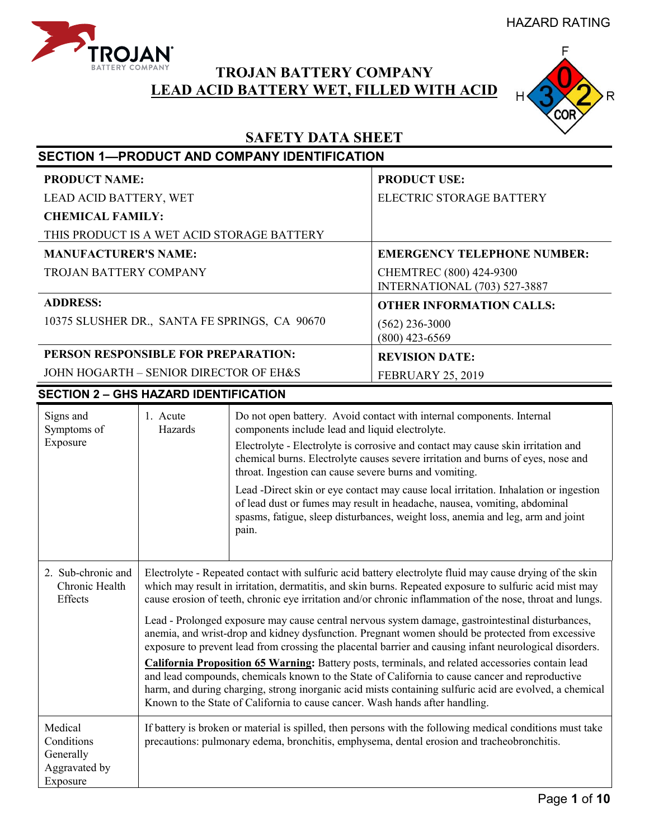HAZARD RATING



# **TROJAN BATTERY COMPANY LEAD ACID BATTERY WET, FILLED WITH ACID**



# **SAFETY DATA SHEET**

|                                                                 |                                                                                                                                                                                                         | <b>SECTION 1-PRODUCT AND COMPANY IDENTIFICATION</b>                                                                                                                                                                                                                                                                                                                                                                                                                                                                                                                                                                         |                                                                                                                                                                                                                                                                                                                                                                                                                                                                                                                                                                                                                                                                                                                                                                                                                                                                                                                                                                         |  |
|-----------------------------------------------------------------|---------------------------------------------------------------------------------------------------------------------------------------------------------------------------------------------------------|-----------------------------------------------------------------------------------------------------------------------------------------------------------------------------------------------------------------------------------------------------------------------------------------------------------------------------------------------------------------------------------------------------------------------------------------------------------------------------------------------------------------------------------------------------------------------------------------------------------------------------|-------------------------------------------------------------------------------------------------------------------------------------------------------------------------------------------------------------------------------------------------------------------------------------------------------------------------------------------------------------------------------------------------------------------------------------------------------------------------------------------------------------------------------------------------------------------------------------------------------------------------------------------------------------------------------------------------------------------------------------------------------------------------------------------------------------------------------------------------------------------------------------------------------------------------------------------------------------------------|--|
| <b>PRODUCT NAME:</b>                                            |                                                                                                                                                                                                         |                                                                                                                                                                                                                                                                                                                                                                                                                                                                                                                                                                                                                             | <b>PRODUCT USE:</b>                                                                                                                                                                                                                                                                                                                                                                                                                                                                                                                                                                                                                                                                                                                                                                                                                                                                                                                                                     |  |
| LEAD ACID BATTERY, WET                                          |                                                                                                                                                                                                         | ELECTRIC STORAGE BATTERY                                                                                                                                                                                                                                                                                                                                                                                                                                                                                                                                                                                                    |                                                                                                                                                                                                                                                                                                                                                                                                                                                                                                                                                                                                                                                                                                                                                                                                                                                                                                                                                                         |  |
| <b>CHEMICAL FAMILY:</b>                                         |                                                                                                                                                                                                         |                                                                                                                                                                                                                                                                                                                                                                                                                                                                                                                                                                                                                             |                                                                                                                                                                                                                                                                                                                                                                                                                                                                                                                                                                                                                                                                                                                                                                                                                                                                                                                                                                         |  |
|                                                                 |                                                                                                                                                                                                         | THIS PRODUCT IS A WET ACID STORAGE BATTERY                                                                                                                                                                                                                                                                                                                                                                                                                                                                                                                                                                                  |                                                                                                                                                                                                                                                                                                                                                                                                                                                                                                                                                                                                                                                                                                                                                                                                                                                                                                                                                                         |  |
| <b>MANUFACTURER'S NAME:</b>                                     |                                                                                                                                                                                                         |                                                                                                                                                                                                                                                                                                                                                                                                                                                                                                                                                                                                                             | <b>EMERGENCY TELEPHONE NUMBER:</b>                                                                                                                                                                                                                                                                                                                                                                                                                                                                                                                                                                                                                                                                                                                                                                                                                                                                                                                                      |  |
| <b>TROJAN BATTERY COMPANY</b>                                   |                                                                                                                                                                                                         |                                                                                                                                                                                                                                                                                                                                                                                                                                                                                                                                                                                                                             | CHEMTREC (800) 424-9300<br>INTERNATIONAL (703) 527-3887                                                                                                                                                                                                                                                                                                                                                                                                                                                                                                                                                                                                                                                                                                                                                                                                                                                                                                                 |  |
| <b>ADDRESS:</b>                                                 |                                                                                                                                                                                                         |                                                                                                                                                                                                                                                                                                                                                                                                                                                                                                                                                                                                                             | <b>OTHER INFORMATION CALLS:</b>                                                                                                                                                                                                                                                                                                                                                                                                                                                                                                                                                                                                                                                                                                                                                                                                                                                                                                                                         |  |
|                                                                 |                                                                                                                                                                                                         | 10375 SLUSHER DR., SANTA FE SPRINGS, CA 90670                                                                                                                                                                                                                                                                                                                                                                                                                                                                                                                                                                               | $(562)$ 236-3000<br>$(800)$ 423-6569                                                                                                                                                                                                                                                                                                                                                                                                                                                                                                                                                                                                                                                                                                                                                                                                                                                                                                                                    |  |
| PERSON RESPONSIBLE FOR PREPARATION:                             |                                                                                                                                                                                                         |                                                                                                                                                                                                                                                                                                                                                                                                                                                                                                                                                                                                                             | <b>REVISION DATE:</b>                                                                                                                                                                                                                                                                                                                                                                                                                                                                                                                                                                                                                                                                                                                                                                                                                                                                                                                                                   |  |
| JOHN HOGARTH - SENIOR DIRECTOR OF EH&S                          |                                                                                                                                                                                                         |                                                                                                                                                                                                                                                                                                                                                                                                                                                                                                                                                                                                                             | <b>FEBRUARY 25, 2019</b>                                                                                                                                                                                                                                                                                                                                                                                                                                                                                                                                                                                                                                                                                                                                                                                                                                                                                                                                                |  |
| <b>SECTION 2 - GHS HAZARD IDENTIFICATION</b>                    |                                                                                                                                                                                                         |                                                                                                                                                                                                                                                                                                                                                                                                                                                                                                                                                                                                                             |                                                                                                                                                                                                                                                                                                                                                                                                                                                                                                                                                                                                                                                                                                                                                                                                                                                                                                                                                                         |  |
| Signs and<br>Symptoms of<br>Exposure                            | 1. Acute<br>Hazards                                                                                                                                                                                     | Do not open battery. Avoid contact with internal components. Internal<br>components include lead and liquid electrolyte.<br>Electrolyte - Electrolyte is corrosive and contact may cause skin irritation and<br>chemical burns. Electrolyte causes severe irritation and burns of eyes, nose and<br>throat. Ingestion can cause severe burns and vomiting.<br>Lead -Direct skin or eye contact may cause local irritation. Inhalation or ingestion<br>of lead dust or fumes may result in headache, nausea, vomiting, abdominal<br>spasms, fatigue, sleep disturbances, weight loss, anemia and leg, arm and joint<br>pain. |                                                                                                                                                                                                                                                                                                                                                                                                                                                                                                                                                                                                                                                                                                                                                                                                                                                                                                                                                                         |  |
| 2. Sub-chronic and<br>Chronic Health<br>Effects                 |                                                                                                                                                                                                         | Known to the State of California to cause cancer. Wash hands after handling.                                                                                                                                                                                                                                                                                                                                                                                                                                                                                                                                                | Electrolyte - Repeated contact with sulfuric acid battery electrolyte fluid may cause drying of the skin<br>which may result in irritation, dermatitis, and skin burns. Repeated exposure to sulfuric acid mist may<br>cause erosion of teeth, chronic eye irritation and/or chronic inflammation of the nose, throat and lungs.<br>Lead - Prolonged exposure may cause central nervous system damage, gastrointestinal disturbances,<br>anemia, and wrist-drop and kidney dysfunction. Pregnant women should be protected from excessive<br>exposure to prevent lead from crossing the placental barrier and causing infant neurological disorders.<br>California Proposition 65 Warning: Battery posts, terminals, and related accessories contain lead<br>and lead compounds, chemicals known to the State of California to cause cancer and reproductive<br>harm, and during charging, strong inorganic acid mists containing sulfuric acid are evolved, a chemical |  |
| Medical<br>Conditions<br>Generally<br>Aggravated by<br>Exposure | If battery is broken or material is spilled, then persons with the following medical conditions must take<br>precautions: pulmonary edema, bronchitis, emphysema, dental erosion and tracheobronchitis. |                                                                                                                                                                                                                                                                                                                                                                                                                                                                                                                                                                                                                             |                                                                                                                                                                                                                                                                                                                                                                                                                                                                                                                                                                                                                                                                                                                                                                                                                                                                                                                                                                         |  |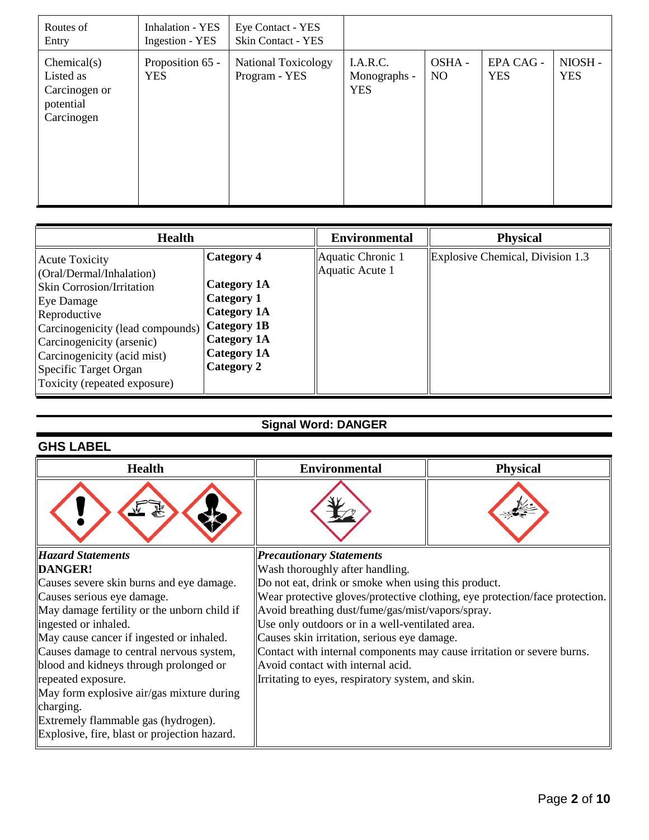| Routes of<br>Entry                                                   | <b>Inhalation - YES</b><br>Ingestion - YES | Eye Contact - YES<br><b>Skin Contact - YES</b> |                                        |                         |                         |                      |
|----------------------------------------------------------------------|--------------------------------------------|------------------------------------------------|----------------------------------------|-------------------------|-------------------------|----------------------|
| Chemical(s)<br>Listed as<br>Carcinogen or<br>potential<br>Carcinogen | Proposition 65 -<br><b>YES</b>             | <b>National Toxicology</b><br>Program - YES    | I.A.R.C.<br>Monographs -<br><b>YES</b> | OSHA-<br>N <sub>O</sub> | EPA CAG -<br><b>YES</b> | NIOSH-<br><b>YES</b> |

| <b>Health</b>                                                                                                                                                                                                                                                                                      |                                                                                                                                       | <b>Environmental</b>                 | <b>Physical</b>                  |
|----------------------------------------------------------------------------------------------------------------------------------------------------------------------------------------------------------------------------------------------------------------------------------------------------|---------------------------------------------------------------------------------------------------------------------------------------|--------------------------------------|----------------------------------|
| <b>Acute Toxicity</b><br>(Oral/Dermal/Inhalation)<br><b>Skin Corrosion/Irritation</b><br><b>Eye Damage</b><br>Reproductive<br> Carcinogenicity (lead compounds)   Category 1B<br>Carcinogenicity (arsenic)<br>Carcinogenicity (acid mist)<br>Specific Target Organ<br>Toxicity (repeated exposure) | Category 4<br><b>Category 1A</b><br><b>Category 1</b><br><b>Category 1A</b><br><b>Category 1A</b><br><b>Category 1A</b><br>Category 2 | Aquatic Chronic 1<br>Aquatic Acute 1 | Explosive Chemical, Division 1.3 |

# **Signal Word: DANGER**

## **GHS LABEL**

| <b>Health</b>                                | <b>Environmental</b>                                                        | <b>Physical</b> |  |
|----------------------------------------------|-----------------------------------------------------------------------------|-----------------|--|
|                                              |                                                                             |                 |  |
| <b>Hazard Statements</b>                     | <b>Precautionary Statements</b>                                             |                 |  |
| DANGER!                                      | Wash thoroughly after handling.                                             |                 |  |
| Causes severe skin burns and eye damage.     | Do not eat, drink or smoke when using this product.                         |                 |  |
| Causes serious eye damage.                   | Wear protective gloves/protective clothing, eye protection/face protection. |                 |  |
| May damage fertility or the unborn child if  | Avoid breathing dust/fume/gas/mist/vapors/spray.                            |                 |  |
| ingested or inhaled.                         | Use only outdoors or in a well-ventilated area.                             |                 |  |
| May cause cancer if ingested or inhaled.     | Causes skin irritation, serious eye damage.                                 |                 |  |
| Causes damage to central nervous system,     | Contact with internal components may cause irritation or severe burns.      |                 |  |
| blood and kidneys through prolonged or       | Avoid contact with internal acid.                                           |                 |  |
| repeated exposure.                           | Irritating to eyes, respiratory system, and skin.                           |                 |  |
| May form explosive air/gas mixture during    |                                                                             |                 |  |
| charging.                                    |                                                                             |                 |  |
| Extremely flammable gas (hydrogen).          |                                                                             |                 |  |
| Explosive, fire, blast or projection hazard. |                                                                             |                 |  |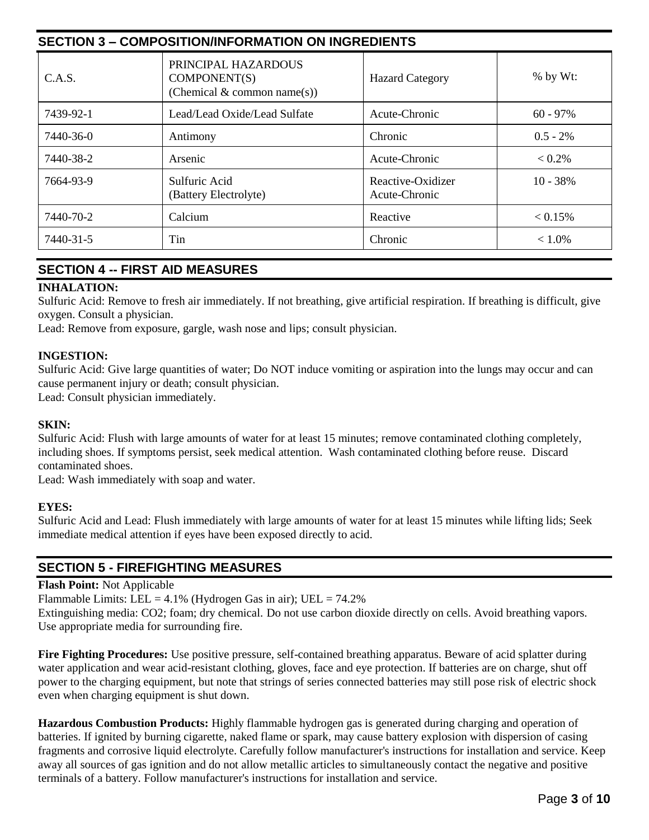| <b>SECTION 3 - COMPOSITION/INFORMATION ON INGREDIENTS</b> |                                                                    |                                    |             |  |
|-----------------------------------------------------------|--------------------------------------------------------------------|------------------------------------|-------------|--|
| C.A.S.                                                    | PRINCIPAL HAZARDOUS<br>COMPONENT(S)<br>(Chemical & common name(s)) | <b>Hazard Category</b>             | $%$ by Wt:  |  |
| 7439-92-1                                                 | Lead/Lead Oxide/Lead Sulfate                                       | Acute-Chronic                      | $60 - 97\%$ |  |
| 7440-36-0                                                 | Antimony                                                           | Chronic                            | $0.5 - 2%$  |  |
| 7440-38-2                                                 | Arsenic                                                            | Acute-Chronic                      | $< 0.2\%$   |  |
| 7664-93-9                                                 | Sulfuric Acid<br>(Battery Electrolyte)                             | Reactive-Oxidizer<br>Acute-Chronic | $10 - 38%$  |  |
| 7440-70-2                                                 | Calcium                                                            | Reactive                           | $< 0.15\%$  |  |
| 7440-31-5                                                 | Tin                                                                | Chronic                            | $< 1.0\%$   |  |

## **SECTION 4 -- FIRST AID MEASURES**

#### **INHALATION:**

Sulfuric Acid: Remove to fresh air immediately. If not breathing, give artificial respiration. If breathing is difficult, give oxygen. Consult a physician.

Lead: Remove from exposure, gargle, wash nose and lips; consult physician.

#### **INGESTION:**

Sulfuric Acid: Give large quantities of water; Do NOT induce vomiting or aspiration into the lungs may occur and can cause permanent injury or death; consult physician.

Lead: Consult physician immediately.

#### **SKIN:**

Sulfuric Acid: Flush with large amounts of water for at least 15 minutes; remove contaminated clothing completely, including shoes. If symptoms persist, seek medical attention. Wash contaminated clothing before reuse. Discard contaminated shoes.

Lead: Wash immediately with soap and water.

#### **EYES:**

Sulfuric Acid and Lead: Flush immediately with large amounts of water for at least 15 minutes while lifting lids; Seek immediate medical attention if eyes have been exposed directly to acid.

## **SECTION 5 - FIREFIGHTING MEASURES**

#### **Flash Point:** Not Applicable

Flammable Limits: LEL =  $4.1\%$  (Hydrogen Gas in air); UEL =  $74.2\%$ 

Extinguishing media: CO2; foam; dry chemical. Do not use carbon dioxide directly on cells. Avoid breathing vapors. Use appropriate media for surrounding fire.

**Fire Fighting Procedures:** Use positive pressure, self-contained breathing apparatus. Beware of acid splatter during water application and wear acid-resistant clothing, gloves, face and eye protection. If batteries are on charge, shut off power to the charging equipment, but note that strings of series connected batteries may still pose risk of electric shock even when charging equipment is shut down.

**Hazardous Combustion Products:** Highly flammable hydrogen gas is generated during charging and operation of batteries. If ignited by burning cigarette, naked flame or spark, may cause battery explosion with dispersion of casing fragments and corrosive liquid electrolyte. Carefully follow manufacturer's instructions for installation and service. Keep away all sources of gas ignition and do not allow metallic articles to simultaneously contact the negative and positive terminals of a battery. Follow manufacturer's instructions for installation and service.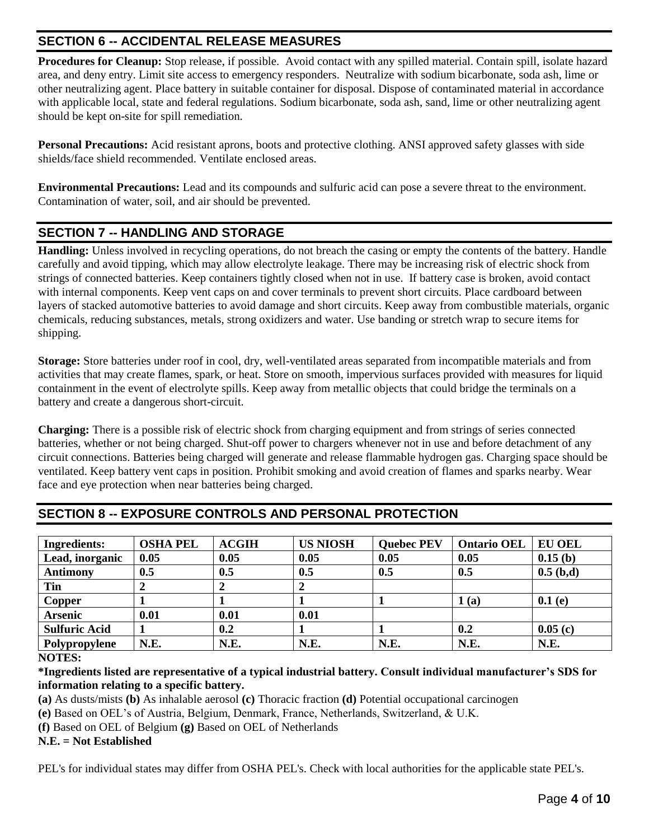## **SECTION 6 -- ACCIDENTAL RELEASE MEASURES**

**Procedures for Cleanup:** Stop release, if possible. Avoid contact with any spilled material. Contain spill, isolate hazard area, and deny entry. Limit site access to emergency responders. Neutralize with sodium bicarbonate, soda ash, lime or other neutralizing agent. Place battery in suitable container for disposal. Dispose of contaminated material in accordance with applicable local, state and federal regulations. Sodium bicarbonate, soda ash, sand, lime or other neutralizing agent should be kept on-site for spill remediation.

**Personal Precautions:** Acid resistant aprons, boots and protective clothing. ANSI approved safety glasses with side shields/face shield recommended. Ventilate enclosed areas.

**Environmental Precautions:** Lead and its compounds and sulfuric acid can pose a severe threat to the environment. Contamination of water, soil, and air should be prevented.

## **SECTION 7 -- HANDLING AND STORAGE**

**Handling:** Unless involved in recycling operations, do not breach the casing or empty the contents of the battery. Handle carefully and avoid tipping, which may allow electrolyte leakage. There may be increasing risk of electric shock from strings of connected batteries. Keep containers tightly closed when not in use. If battery case is broken, avoid contact with internal components. Keep vent caps on and cover terminals to prevent short circuits. Place cardboard between layers of stacked automotive batteries to avoid damage and short circuits. Keep away from combustible materials, organic chemicals, reducing substances, metals, strong oxidizers and water. Use banding or stretch wrap to secure items for shipping.

**Storage:** Store batteries under roof in cool, dry, well-ventilated areas separated from incompatible materials and from activities that may create flames, spark, or heat. Store on smooth, impervious surfaces provided with measures for liquid containment in the event of electrolyte spills. Keep away from metallic objects that could bridge the terminals on a battery and create a dangerous short-circuit.

**Charging:** There is a possible risk of electric shock from charging equipment and from strings of series connected batteries, whether or not being charged. Shut-off power to chargers whenever not in use and before detachment of any circuit connections. Batteries being charged will generate and release flammable hydrogen gas. Charging space should be ventilated. Keep battery vent caps in position. Prohibit smoking and avoid creation of flames and sparks nearby. Wear face and eye protection when near batteries being charged.

| <b>Ingredients:</b>  | <b>OSHA PEL</b> | <b>ACGIH</b> | <b>US NIOSH</b> | <b>Quebec PEV</b> | <b>Ontario OEL</b> | <b>EU OEL</b> |
|----------------------|-----------------|--------------|-----------------|-------------------|--------------------|---------------|
| Lead, inorganic      | 0.05            | 0.05         | 0.05            | 0.05              | 0.05               | 0.15(b)       |
| <b>Antimony</b>      | $0.5\,$         | 0.5          | 0.5             | 0.5               | 0.5                | 0.5~(b,d)     |
| Tin                  |                 |              |                 |                   |                    |               |
| <b>Copper</b>        |                 |              |                 |                   | (a)                | 0.1(e)        |
| <b>Arsenic</b>       | 0.01            | 0.01         | 0.01            |                   |                    |               |
| <b>Sulfuric Acid</b> |                 | 0.2          |                 |                   | 0.2                | 0.05(c)       |
| Polypropylene        | N.E.            | N.E.         | N.E.            | N.E.              | N.E.               | N.E.          |

## **SECTION 8 -- EXPOSURE CONTROLS AND PERSONAL PROTECTION**

#### **NOTES:**

**\*Ingredients listed are representative of a typical industrial battery. Consult individual manufacturer's SDS for information relating to a specific battery.**

**(a)** As dusts/mists **(b)** As inhalable aerosol **(c)** Thoracic fraction **(d)** Potential occupational carcinogen

**(e)** Based on OEL's of Austria, Belgium, Denmark, France, Netherlands, Switzerland, & U.K.

**(f)** Based on OEL of Belgium **(g)** Based on OEL of Netherlands

**N.E. = Not Established**

PEL's for individual states may differ from OSHA PEL's. Check with local authorities for the applicable state PEL's.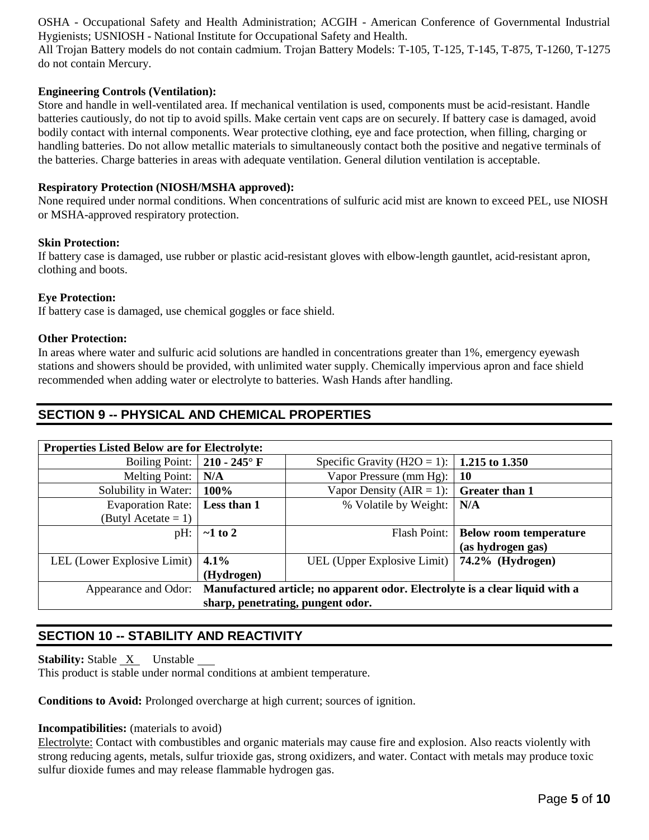OSHA - Occupational Safety and Health Administration; ACGIH - American Conference of Governmental Industrial Hygienists; USNIOSH - National Institute for Occupational Safety and Health.

All Trojan Battery models do not contain cadmium. Trojan Battery Models: T-105, T-125, T-145, T-875, T-1260, T-1275 do not contain Mercury.

#### **Engineering Controls (Ventilation):**

Store and handle in well-ventilated area. If mechanical ventilation is used, components must be acid-resistant. Handle batteries cautiously, do not tip to avoid spills. Make certain vent caps are on securely. If battery case is damaged, avoid bodily contact with internal components. Wear protective clothing, eye and face protection, when filling, charging or handling batteries. Do not allow metallic materials to simultaneously contact both the positive and negative terminals of the batteries. Charge batteries in areas with adequate ventilation. General dilution ventilation is acceptable.

#### **Respiratory Protection (NIOSH/MSHA approved):**

None required under normal conditions. When concentrations of sulfuric acid mist are known to exceed PEL, use NIOSH or MSHA-approved respiratory protection.

#### **Skin Protection:**

If battery case is damaged, use rubber or plastic acid-resistant gloves with elbow-length gauntlet, acid-resistant apron, clothing and boots.

#### **Eye Protection:**

If battery case is damaged, use chemical goggles or face shield.

#### **Other Protection:**

In areas where water and sulfuric acid solutions are handled in concentrations greater than 1%, emergency eyewash stations and showers should be provided, with unlimited water supply. Chemically impervious apron and face shield recommended when adding water or electrolyte to batteries. Wash Hands after handling.

### **SECTION 9 -- PHYSICAL AND CHEMICAL PROPERTIES**

| <b>Properties Listed Below are for Electrolyte:</b>                                               |                        |                                                     |                               |  |  |
|---------------------------------------------------------------------------------------------------|------------------------|-----------------------------------------------------|-------------------------------|--|--|
| <b>Boiling Point:</b>                                                                             | 210 - 245 $^{\circ}$ F | Specific Gravity (H2O = 1):   <b>1.215 to 1.350</b> |                               |  |  |
| <b>Melting Point:</b>                                                                             | N/A                    | Vapor Pressure (mm Hg):                             | <b>10</b>                     |  |  |
| Solubility in Water:                                                                              | 100%                   | Vapor Density ( $AIR = 1$ ):                        | <b>Greater than 1</b>         |  |  |
| <b>Evaporation Rate:</b>                                                                          | Less than 1            | % Volatile by Weight:                               | N/A                           |  |  |
| (Butyl Acetate = 1)                                                                               |                        |                                                     |                               |  |  |
| pH:                                                                                               | $\sim$ 1 to 2          | Flash Point:                                        | <b>Below room temperature</b> |  |  |
|                                                                                                   |                        |                                                     | (as hydrogen gas)             |  |  |
| LEL (Lower Explosive Limit)                                                                       | $ 4.1\%$               | UEL (Upper Explosive Limit)   74.2% (Hydrogen)      |                               |  |  |
|                                                                                                   | (Hydrogen)             |                                                     |                               |  |  |
| Appearance and Odor: Manufactured article; no apparent odor. Electrolyte is a clear liquid with a |                        |                                                     |                               |  |  |
| sharp, penetrating, pungent odor.                                                                 |                        |                                                     |                               |  |  |

## **SECTION 10 -- STABILITY AND REACTIVITY**

**Stability:** Stable <u>X</u> Unstable \_\_

This product is stable under normal conditions at ambient temperature.

**Conditions to Avoid:** Prolonged overcharge at high current; sources of ignition.

#### **Incompatibilities:** (materials to avoid)

Electrolyte: Contact with combustibles and organic materials may cause fire and explosion. Also reacts violently with strong reducing agents, metals, sulfur trioxide gas, strong oxidizers, and water. Contact with metals may produce toxic sulfur dioxide fumes and may release flammable hydrogen gas.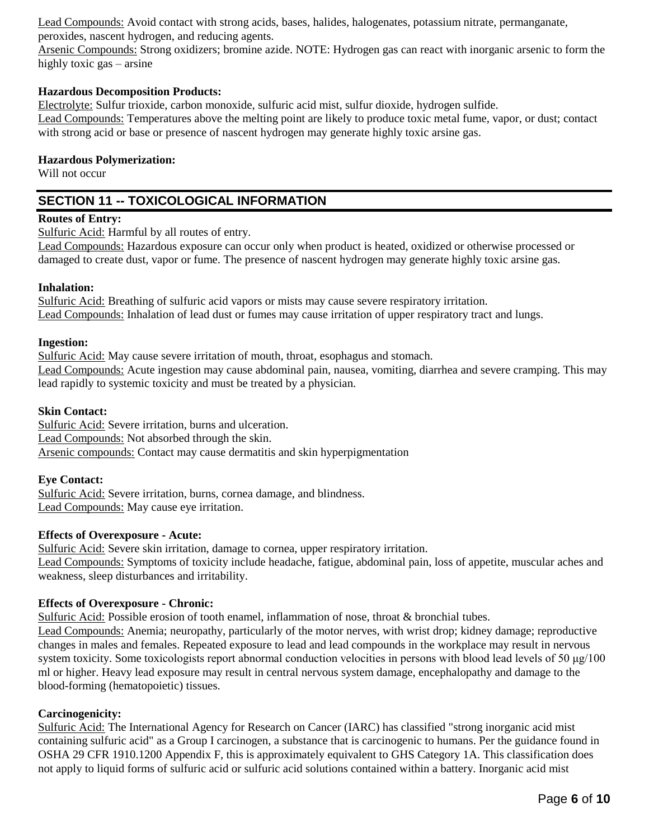Lead Compounds: Avoid contact with strong acids, bases, halides, halogenates, potassium nitrate, permanganate, peroxides, nascent hydrogen, and reducing agents.

Arsenic Compounds: Strong oxidizers; bromine azide. NOTE: Hydrogen gas can react with inorganic arsenic to form the highly toxic gas – arsine

#### **Hazardous Decomposition Products:**

Electrolyte: Sulfur trioxide, carbon monoxide, sulfuric acid mist, sulfur dioxide, hydrogen sulfide.

Lead Compounds: Temperatures above the melting point are likely to produce toxic metal fume, vapor, or dust; contact with strong acid or base or presence of nascent hydrogen may generate highly toxic arsine gas.

#### **Hazardous Polymerization:**

Will not occur

## **SECTION 11 -- TOXICOLOGICAL INFORMATION**

#### **Routes of Entry:**

Sulfuric Acid: Harmful by all routes of entry.

Lead Compounds: Hazardous exposure can occur only when product is heated, oxidized or otherwise processed or damaged to create dust, vapor or fume. The presence of nascent hydrogen may generate highly toxic arsine gas.

#### **Inhalation:**

Sulfuric Acid: Breathing of sulfuric acid vapors or mists may cause severe respiratory irritation. Lead Compounds: Inhalation of lead dust or fumes may cause irritation of upper respiratory tract and lungs.

#### **Ingestion:**

Sulfuric Acid: May cause severe irritation of mouth, throat, esophagus and stomach. Lead Compounds: Acute ingestion may cause abdominal pain, nausea, vomiting, diarrhea and severe cramping. This may lead rapidly to systemic toxicity and must be treated by a physician.

#### **Skin Contact:**

Sulfuric Acid: Severe irritation, burns and ulceration. Lead Compounds: Not absorbed through the skin. Arsenic compounds: Contact may cause dermatitis and skin hyperpigmentation

#### **Eye Contact:**

Sulfuric Acid: Severe irritation, burns, cornea damage, and blindness. Lead Compounds: May cause eye irritation.

#### **Effects of Overexposure - Acute:**

Sulfuric Acid: Severe skin irritation, damage to cornea, upper respiratory irritation. Lead Compounds: Symptoms of toxicity include headache, fatigue, abdominal pain, loss of appetite, muscular aches and weakness, sleep disturbances and irritability.

#### **Effects of Overexposure - Chronic:**

Sulfuric Acid: Possible erosion of tooth enamel, inflammation of nose, throat & bronchial tubes. Lead Compounds: Anemia; neuropathy, particularly of the motor nerves, with wrist drop; kidney damage; reproductive

changes in males and females. Repeated exposure to lead and lead compounds in the workplace may result in nervous system toxicity. Some toxicologists report abnormal conduction velocities in persons with blood lead levels of 50 μg/100 ml or higher. Heavy lead exposure may result in central nervous system damage, encephalopathy and damage to the blood-forming (hematopoietic) tissues.

#### **Carcinogenicity:**

Sulfuric Acid: The International Agency for Research on Cancer (IARC) has classified "strong inorganic acid mist containing sulfuric acid" as a Group I carcinogen, a substance that is carcinogenic to humans. Per the guidance found in OSHA 29 CFR 1910.1200 Appendix F, this is approximately equivalent to GHS Category 1A. This classification does not apply to liquid forms of sulfuric acid or sulfuric acid solutions contained within a battery. Inorganic acid mist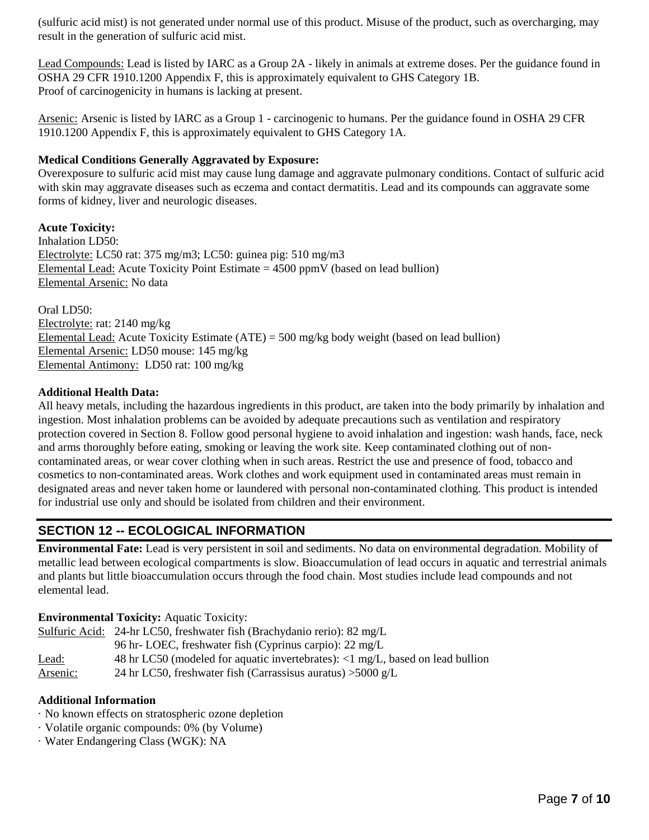(sulfuric acid mist) is not generated under normal use of this product. Misuse of the product, such as overcharging, may result in the generation of sulfuric acid mist.

Lead Compounds: Lead is listed by IARC as a Group 2A - likely in animals at extreme doses. Per the guidance found in OSHA 29 CFR 1910.1200 Appendix F, this is approximately equivalent to GHS Category 1B. Proof of carcinogenicity in humans is lacking at present.

Arsenic: Arsenic is listed by IARC as a Group 1 - carcinogenic to humans. Per the guidance found in OSHA 29 CFR 1910.1200 Appendix F, this is approximately equivalent to GHS Category 1A.

#### **Medical Conditions Generally Aggravated by Exposure:**

Overexposure to sulfuric acid mist may cause lung damage and aggravate pulmonary conditions. Contact of sulfuric acid with skin may aggravate diseases such as eczema and contact dermatitis. Lead and its compounds can aggravate some forms of kidney, liver and neurologic diseases.

**Acute Toxicity:** Inhalation LD50: Electrolyte: LC50 rat: 375 mg/m3; LC50: guinea pig: 510 mg/m3 Elemental Lead: Acute Toxicity Point Estimate  $= 4500$  ppmV (based on lead bullion) Elemental Arsenic: No data

Oral LD50: Electrolyte: rat: 2140 mg/kg Elemental Lead: Acute Toxicity Estimate (ATE) = 500 mg/kg body weight (based on lead bullion) Elemental Arsenic: LD50 mouse: 145 mg/kg Elemental Antimony: LD50 rat: 100 mg/kg

#### **Additional Health Data:**

All heavy metals, including the hazardous ingredients in this product, are taken into the body primarily by inhalation and ingestion. Most inhalation problems can be avoided by adequate precautions such as ventilation and respiratory protection covered in Section 8. Follow good personal hygiene to avoid inhalation and ingestion: wash hands, face, neck and arms thoroughly before eating, smoking or leaving the work site. Keep contaminated clothing out of noncontaminated areas, or wear cover clothing when in such areas. Restrict the use and presence of food, tobacco and cosmetics to non-contaminated areas. Work clothes and work equipment used in contaminated areas must remain in designated areas and never taken home or laundered with personal non-contaminated clothing. This product is intended for industrial use only and should be isolated from children and their environment.

## **SECTION 12 -- ECOLOGICAL INFORMATION**

**Environmental Fate:** Lead is very persistent in soil and sediments. No data on environmental degradation. Mobility of metallic lead between ecological compartments is slow. Bioaccumulation of lead occurs in aquatic and terrestrial animals and plants but little bioaccumulation occurs through the food chain. Most studies include lead compounds and not elemental lead.

#### **Environmental Toxicity:** Aquatic Toxicity:

|          | Sulfuric Acid: 24-hr LC50, freshwater fish (Brachydanio rerio): 82 mg/L                          |
|----------|--------------------------------------------------------------------------------------------------|
|          | 96 hr-LOEC, freshwater fish (Cyprinus carpio): 22 mg/L                                           |
| Lead:    | 48 hr LC50 (modeled for aquatic invertebrates): $\langle 1 \text{ mg/L}$ , based on lead bullion |
| Arsenic: | 24 hr LC50, freshwater fish (Carrassisus auratus) $>5000$ g/L                                    |

#### **Additional Information**

- · No known effects on stratospheric ozone depletion
- · Volatile organic compounds: 0% (by Volume)
- · Water Endangering Class (WGK): NA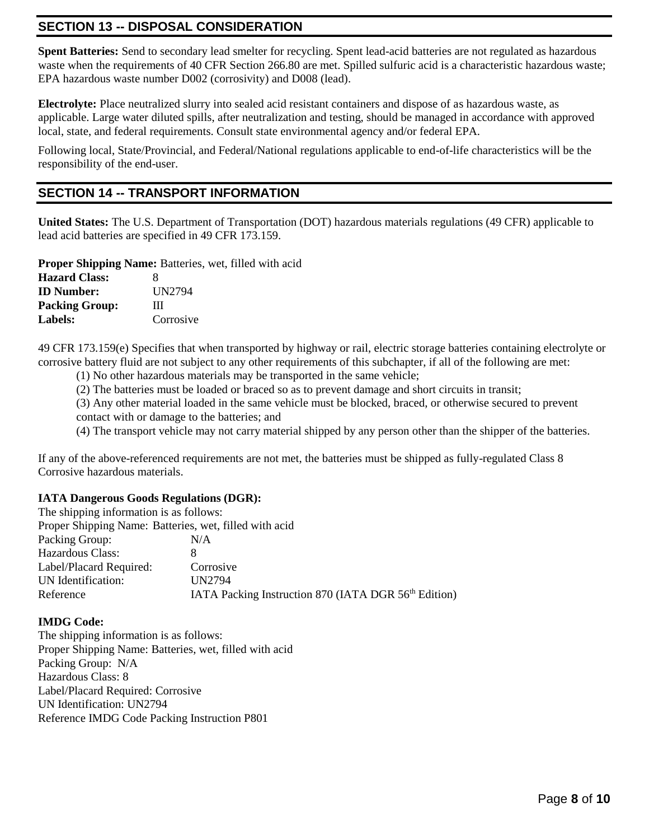## **SECTION 13 -- DISPOSAL CONSIDERATION**

**Spent Batteries:** Send to secondary lead smelter for recycling. Spent lead-acid batteries are not regulated as hazardous waste when the requirements of 40 CFR Section 266.80 are met. Spilled sulfuric acid is a characteristic hazardous waste; EPA hazardous waste number D002 (corrosivity) and D008 (lead).

**Electrolyte:** Place neutralized slurry into sealed acid resistant containers and dispose of as hazardous waste, as applicable. Large water diluted spills, after neutralization and testing, should be managed in accordance with approved local, state, and federal requirements. Consult state environmental agency and/or federal EPA.

Following local, State/Provincial, and Federal/National regulations applicable to end-of-life characteristics will be the responsibility of the end-user.

### **SECTION 14 -- TRANSPORT INFORMATION**

**United States:** The U.S. Department of Transportation (DOT) hazardous materials regulations (49 CFR) applicable to lead acid batteries are specified in 49 CFR 173.159.

**Proper Shipping Name:** Batteries, wet, filled with acid

| <b>Hazard Class:</b>  | 8         |
|-----------------------|-----------|
| <b>ID</b> Number:     | UN2794    |
| <b>Packing Group:</b> | Ш         |
| <b>Labels:</b>        | Corrosive |

49 CFR 173.159(e) Specifies that when transported by highway or rail, electric storage batteries containing electrolyte or corrosive battery fluid are not subject to any other requirements of this subchapter, if all of the following are met:

(1) No other hazardous materials may be transported in the same vehicle;

(2) The batteries must be loaded or braced so as to prevent damage and short circuits in transit;

(3) Any other material loaded in the same vehicle must be blocked, braced, or otherwise secured to prevent contact with or damage to the batteries; and

(4) The transport vehicle may not carry material shipped by any person other than the shipper of the batteries.

If any of the above-referenced requirements are not met, the batteries must be shipped as fully-regulated Class 8 Corrosive hazardous materials.

#### **IATA Dangerous Goods Regulations (DGR):**

| The shipping information is as follows:                |                                                                  |
|--------------------------------------------------------|------------------------------------------------------------------|
| Proper Shipping Name: Batteries, wet, filled with acid |                                                                  |
| Packing Group:                                         | N/A                                                              |
| Hazardous Class:                                       |                                                                  |
| Label/Placard Required:                                | Corrosive                                                        |
| UN Identification:                                     | <b>UN2794</b>                                                    |
| Reference                                              | IATA Packing Instruction 870 (IATA DGR 56 <sup>th</sup> Edition) |

#### **IMDG Code:**

The shipping information is as follows: Proper Shipping Name: Batteries, wet, filled with acid Packing Group: N/A Hazardous Class: 8 Label/Placard Required: Corrosive UN Identification: UN2794 Reference IMDG Code Packing Instruction P801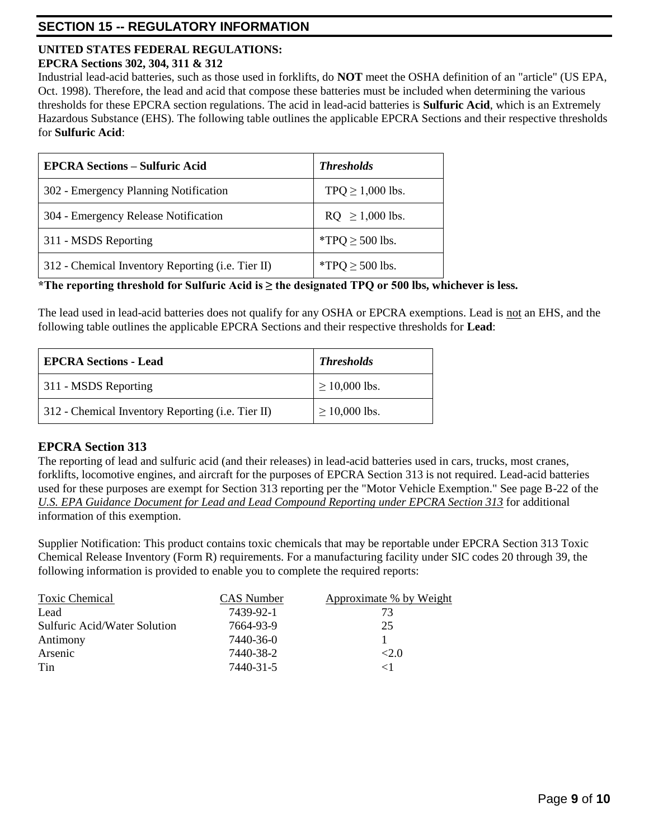## **SECTION 15 -- REGULATORY INFORMATION**

#### **UNITED STATES FEDERAL REGULATIONS: EPCRA Sections 302, 304, 311 & 312**

Industrial lead-acid batteries, such as those used in forklifts, do **NOT** meet the OSHA definition of an "article" (US EPA, Oct. 1998). Therefore, the lead and acid that compose these batteries must be included when determining the various thresholds for these EPCRA section regulations. The acid in lead-acid batteries is **Sulfuric Acid**, which is an Extremely Hazardous Substance (EHS). The following table outlines the applicable EPCRA Sections and their respective thresholds for **Sulfuric Acid**:

| <b>EPCRA Sections – Sulfuric Acid</b>                     | <b>Thresholds</b>     |
|-----------------------------------------------------------|-----------------------|
| 302 - Emergency Planning Notification                     | TPQ $\geq$ 1,000 lbs. |
| 304 - Emergency Release Notification                      | $RQ \ge 1,000$ lbs.   |
| 311 - MSDS Reporting                                      | *TPQ $\geq$ 500 lbs.  |
| 312 - Chemical Inventory Reporting ( <i>i.e.</i> Tier II) | *TPQ $\geq$ 500 lbs.  |

## **\*The reporting threshold for Sulfuric Acid is ≥ the designated TPQ or 500 lbs, whichever is less.**

The lead used in lead-acid batteries does not qualify for any OSHA or EPCRA exemptions. Lead is not an EHS, and the following table outlines the applicable EPCRA Sections and their respective thresholds for **Lead**:

| <b>EPCRA Sections - Lead</b>                      | <b>Thresholds</b>  |
|---------------------------------------------------|--------------------|
| 311 - MSDS Reporting                              | $\geq$ 10,000 lbs. |
| 312 - Chemical Inventory Reporting (i.e. Tier II) | $\geq 10,000$ lbs. |

## **EPCRA Section 313**

The reporting of lead and sulfuric acid (and their releases) in lead-acid batteries used in cars, trucks, most cranes, forklifts, locomotive engines, and aircraft for the purposes of EPCRA Section 313 is not required. Lead-acid batteries used for these purposes are exempt for Section 313 reporting per the "Motor Vehicle Exemption." See page B-22 of the *U.S. EPA Guidance Document for Lead and Lead Compound Reporting under EPCRA Section 313* for additional information of this exemption.

Supplier Notification: This product contains toxic chemicals that may be reportable under EPCRA Section 313 Toxic Chemical Release Inventory (Form R) requirements. For a manufacturing facility under SIC codes 20 through 39, the following information is provided to enable you to complete the required reports:

| <b>Toxic Chemical</b>        | CAS Number | Approximate % by Weight |
|------------------------------|------------|-------------------------|
| Lead                         | 7439-92-1  | 73                      |
| Sulfuric Acid/Water Solution | 7664-93-9  | 25                      |
| Antimony                     | 7440-36-0  |                         |
| Arsenic                      | 7440-38-2  | <2.0                    |
| Tin                          | 7440-31-5  |                         |
|                              |            |                         |